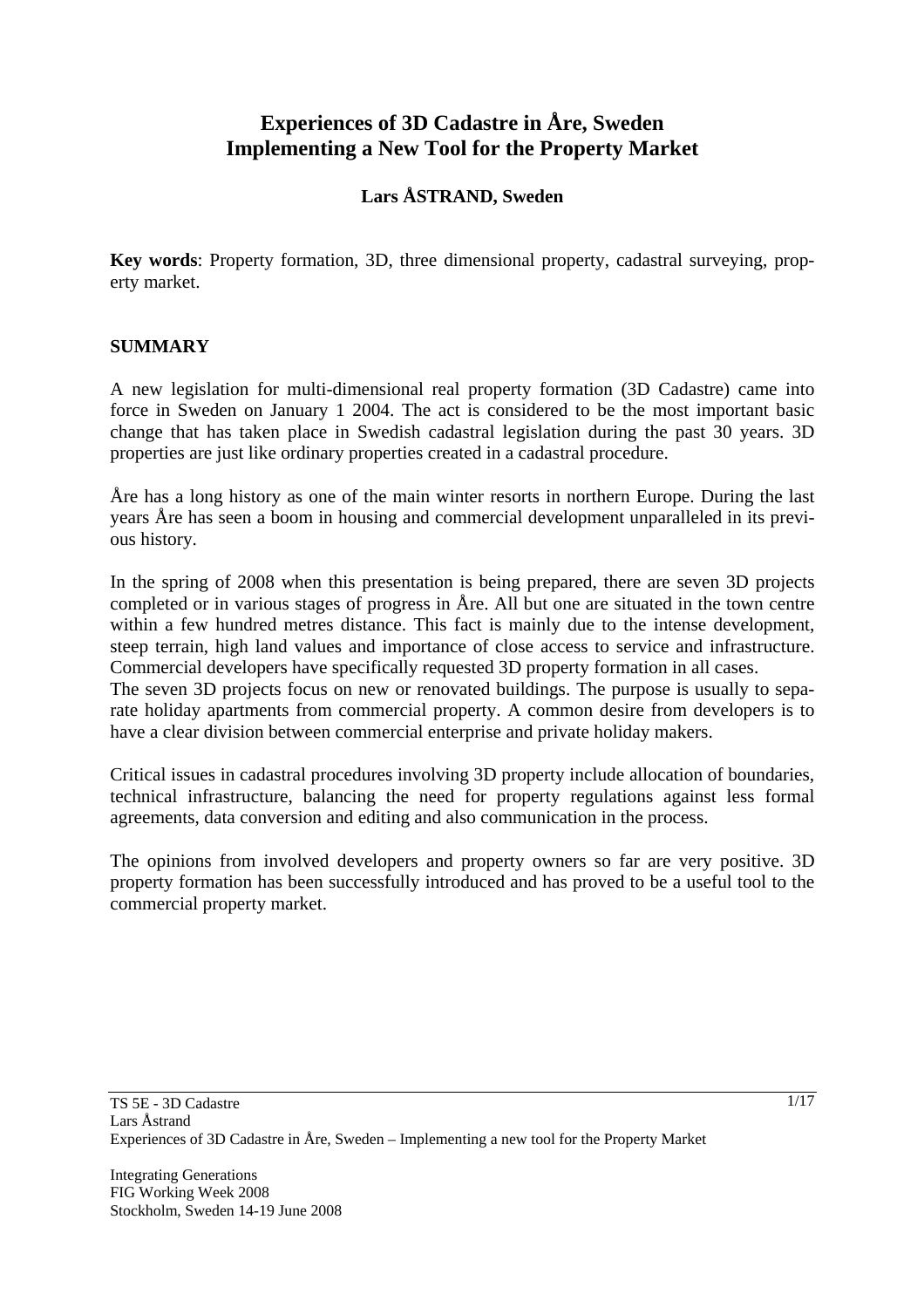# **Experiences of 3D Cadastre in Åre, Sweden Implementing a New Tool for the Property Market**

# **Lars ÅSTRAND, Sweden**

**Key words**: Property formation, 3D, three dimensional property, cadastral surveying, property market.

#### **SUMMARY**

A new legislation for multi-dimensional real property formation (3D Cadastre) came into force in Sweden on January 1 2004. The act is considered to be the most important basic change that has taken place in Swedish cadastral legislation during the past 30 years. 3D properties are just like ordinary properties created in a cadastral procedure.

Åre has a long history as one of the main winter resorts in northern Europe. During the last years Åre has seen a boom in housing and commercial development unparalleled in its previous history.

In the spring of 2008 when this presentation is being prepared, there are seven 3D projects completed or in various stages of progress in Åre. All but one are situated in the town centre within a few hundred metres distance. This fact is mainly due to the intense development, steep terrain, high land values and importance of close access to service and infrastructure. Commercial developers have specifically requested 3D property formation in all cases.

The seven 3D projects focus on new or renovated buildings. The purpose is usually to separate holiday apartments from commercial property. A common desire from developers is to have a clear division between commercial enterprise and private holiday makers.

Critical issues in cadastral procedures involving 3D property include allocation of boundaries, technical infrastructure, balancing the need for property regulations against less formal agreements, data conversion and editing and also communication in the process.

The opinions from involved developers and property owners so far are very positive. 3D property formation has been successfully introduced and has proved to be a useful tool to the commercial property market.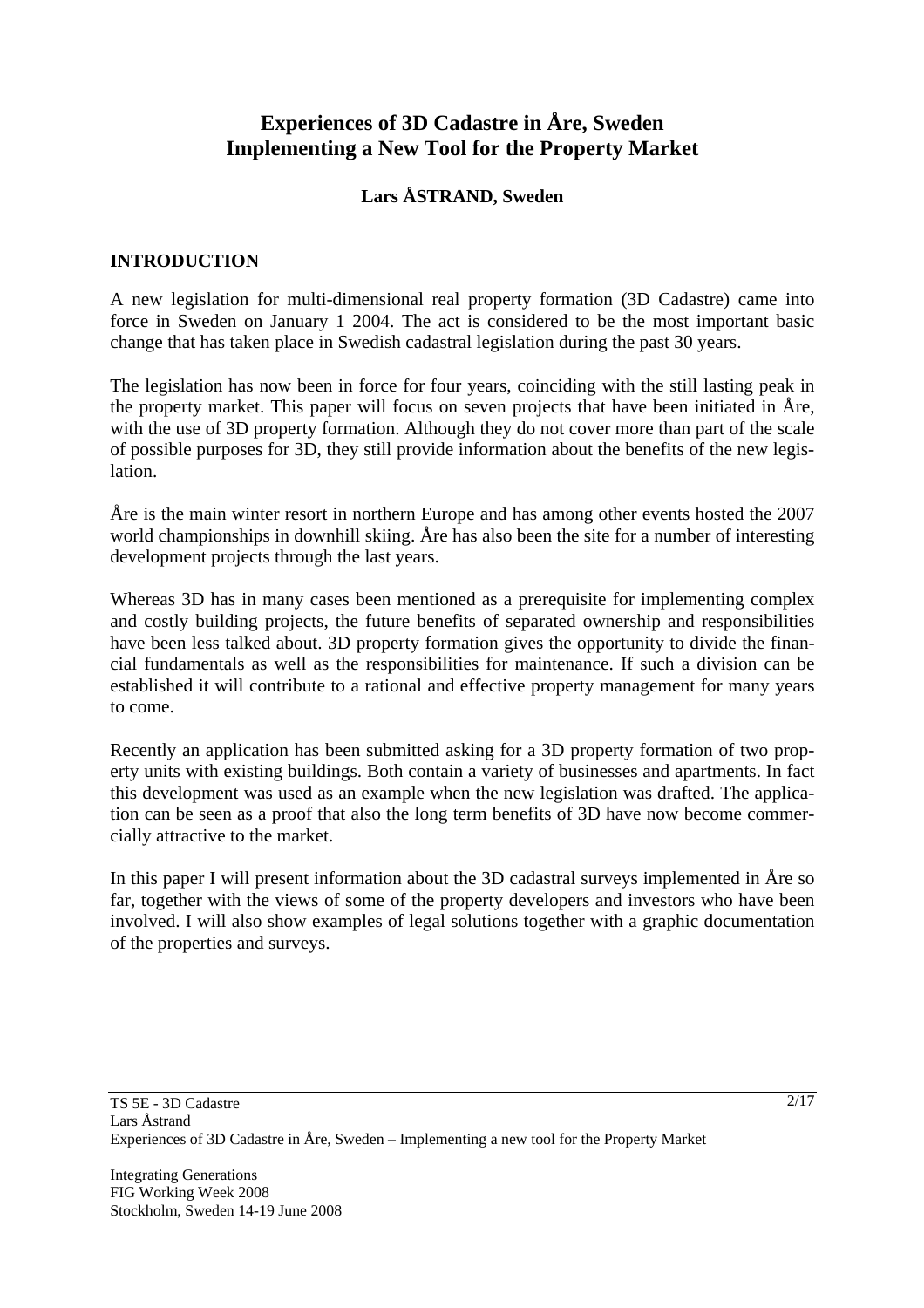# **Experiences of 3D Cadastre in Åre, Sweden Implementing a New Tool for the Property Market**

# **Lars ÅSTRAND, Sweden**

# **INTRODUCTION**

A new legislation for multi-dimensional real property formation (3D Cadastre) came into force in Sweden on January 1 2004. The act is considered to be the most important basic change that has taken place in Swedish cadastral legislation during the past 30 years.

The legislation has now been in force for four years, coinciding with the still lasting peak in the property market. This paper will focus on seven projects that have been initiated in Åre, with the use of 3D property formation. Although they do not cover more than part of the scale of possible purposes for 3D, they still provide information about the benefits of the new legislation.

Åre is the main winter resort in northern Europe and has among other events hosted the 2007 world championships in downhill skiing. Åre has also been the site for a number of interesting development projects through the last years.

Whereas 3D has in many cases been mentioned as a prerequisite for implementing complex and costly building projects, the future benefits of separated ownership and responsibilities have been less talked about. 3D property formation gives the opportunity to divide the financial fundamentals as well as the responsibilities for maintenance. If such a division can be established it will contribute to a rational and effective property management for many years to come.

Recently an application has been submitted asking for a 3D property formation of two property units with existing buildings. Both contain a variety of businesses and apartments. In fact this development was used as an example when the new legislation was drafted. The application can be seen as a proof that also the long term benefits of 3D have now become commercially attractive to the market.

In this paper I will present information about the 3D cadastral surveys implemented in Åre so far, together with the views of some of the property developers and investors who have been involved. I will also show examples of legal solutions together with a graphic documentation of the properties and surveys.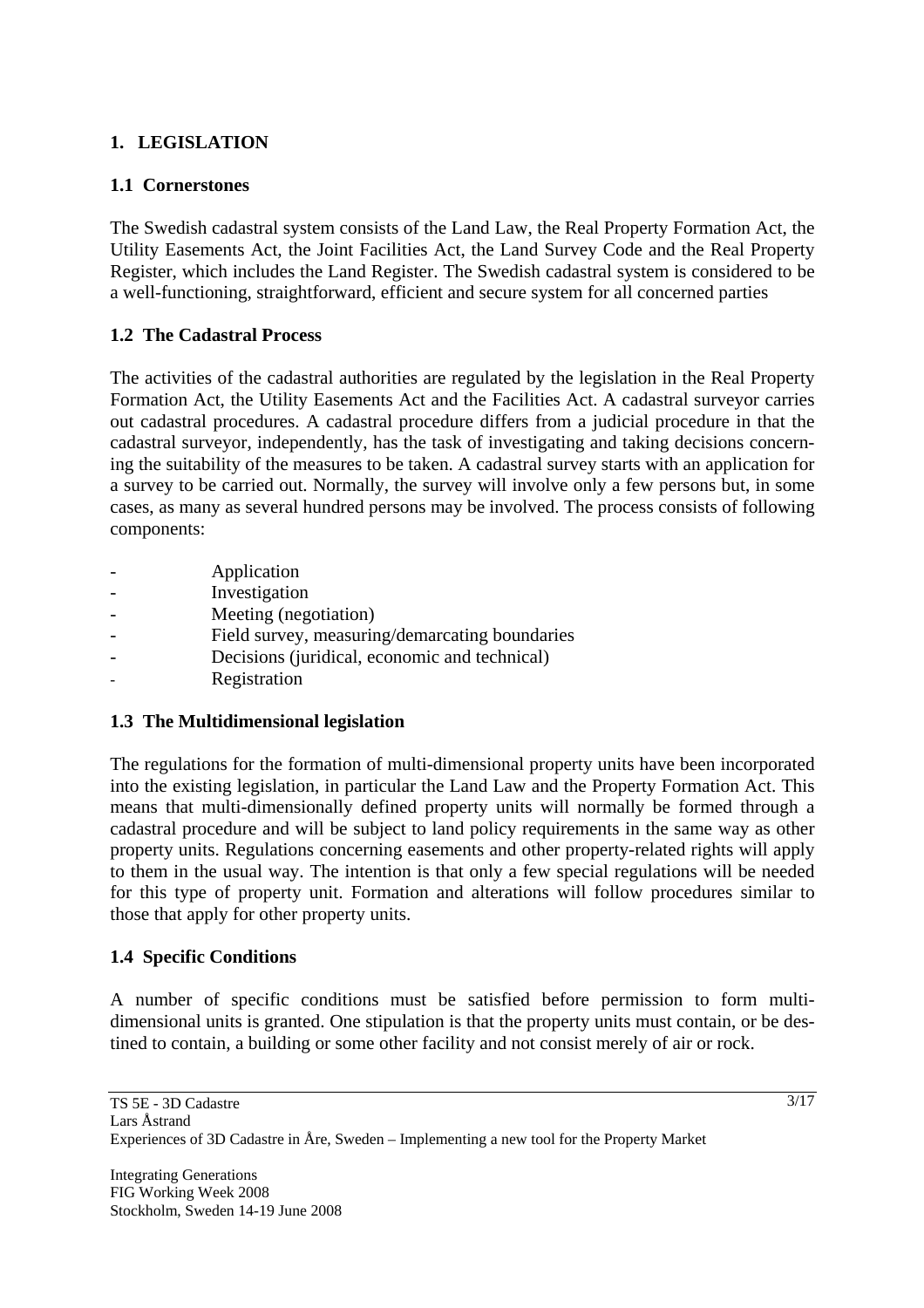# **1. LEGISLATION**

### **1.1 Cornerstones**

The Swedish cadastral system consists of the Land Law, the Real Property Formation Act, the Utility Easements Act, the Joint Facilities Act, the Land Survey Code and the Real Property Register, which includes the Land Register. The Swedish cadastral system is considered to be a well-functioning, straightforward, efficient and secure system for all concerned parties

### **1.2 The Cadastral Process**

The activities of the cadastral authorities are regulated by the legislation in the Real Property Formation Act, the Utility Easements Act and the Facilities Act. A cadastral surveyor carries out cadastral procedures. A cadastral procedure differs from a judicial procedure in that the cadastral surveyor, independently, has the task of investigating and taking decisions concerning the suitability of the measures to be taken. A cadastral survey starts with an application for a survey to be carried out. Normally, the survey will involve only a few persons but, in some cases, as many as several hundred persons may be involved. The process consists of following components:

**Application Investigation** Meeting (negotiation) Field survey, measuring/demarcating boundaries - Decisions (juridical, economic and technical) **Registration** 

# **1.3 The Multidimensional legislation**

The regulations for the formation of multi-dimensional property units have been incorporated into the existing legislation, in particular the Land Law and the Property Formation Act. This means that multi-dimensionally defined property units will normally be formed through a cadastral procedure and will be subject to land policy requirements in the same way as other property units. Regulations concerning easements and other property-related rights will apply to them in the usual way. The intention is that only a few special regulations will be needed for this type of property unit. Formation and alterations will follow procedures similar to those that apply for other property units.

# **1.4 Specific Conditions**

A number of specific conditions must be satisfied before permission to form multidimensional units is granted. One stipulation is that the property units must contain, or be destined to contain, a building or some other facility and not consist merely of air or rock.

Integrating Generations FIG Working Week 2008 Stockholm, Sweden 14-19 June 2008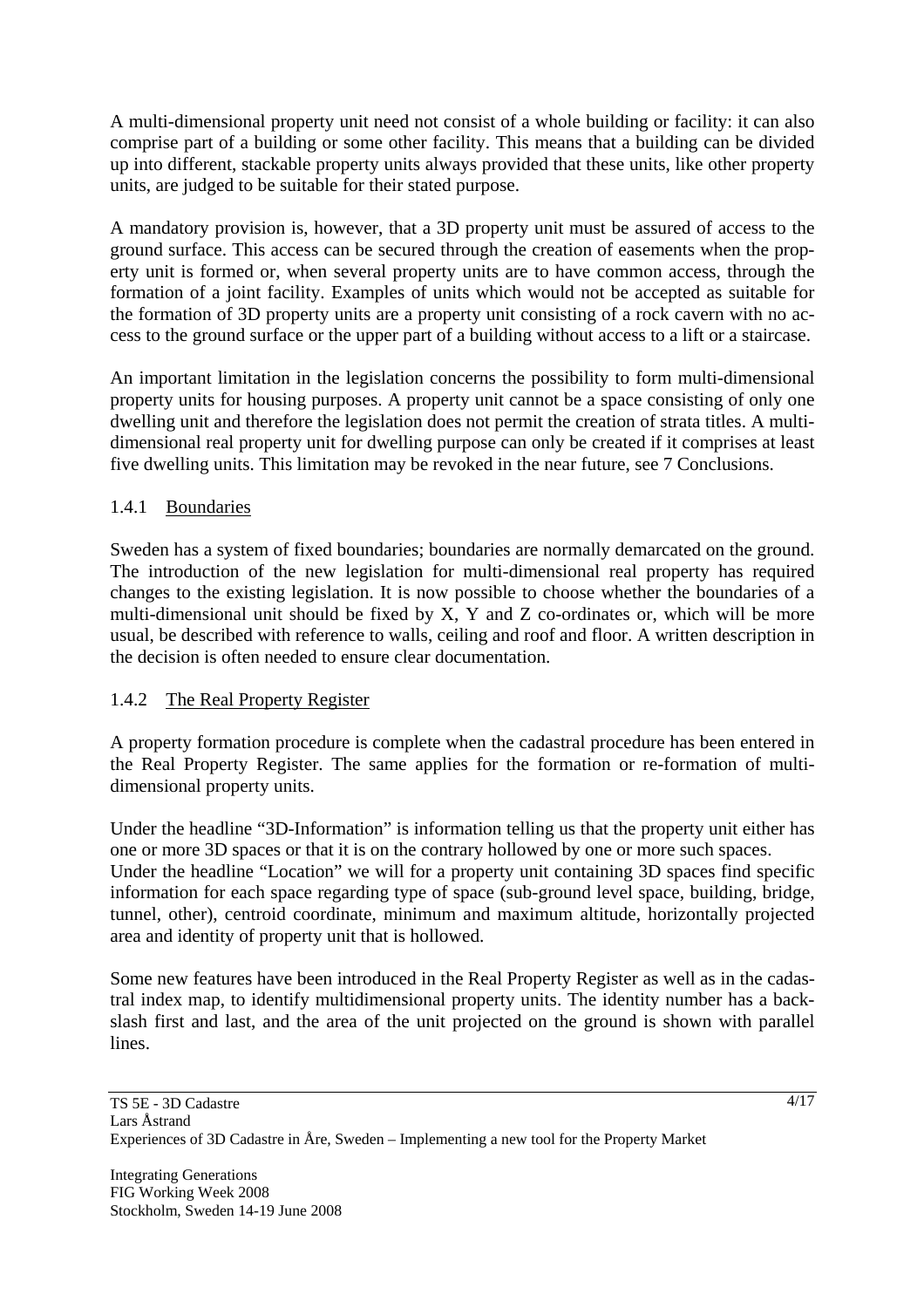A multi-dimensional property unit need not consist of a whole building or facility: it can also comprise part of a building or some other facility. This means that a building can be divided up into different, stackable property units always provided that these units, like other property units, are judged to be suitable for their stated purpose.

A mandatory provision is, however, that a 3D property unit must be assured of access to the ground surface. This access can be secured through the creation of easements when the property unit is formed or, when several property units are to have common access, through the formation of a joint facility. Examples of units which would not be accepted as suitable for the formation of 3D property units are a property unit consisting of a rock cavern with no access to the ground surface or the upper part of a building without access to a lift or a staircase.

An important limitation in the legislation concerns the possibility to form multi-dimensional property units for housing purposes. A property unit cannot be a space consisting of only one dwelling unit and therefore the legislation does not permit the creation of strata titles. A multidimensional real property unit for dwelling purpose can only be created if it comprises at least five dwelling units. This limitation may be revoked in the near future, see 7 Conclusions.

# 1.4.1 Boundaries

Sweden has a system of fixed boundaries; boundaries are normally demarcated on the ground. The introduction of the new legislation for multi-dimensional real property has required changes to the existing legislation. It is now possible to choose whether the boundaries of a multi-dimensional unit should be fixed by X, Y and Z co-ordinates or, which will be more usual, be described with reference to walls, ceiling and roof and floor. A written description in the decision is often needed to ensure clear documentation.

# 1.4.2 The Real Property Register

A property formation procedure is complete when the cadastral procedure has been entered in the Real Property Register. The same applies for the formation or re-formation of multidimensional property units.

Under the headline "3D-Information" is information telling us that the property unit either has one or more 3D spaces or that it is on the contrary hollowed by one or more such spaces. Under the headline "Location" we will for a property unit containing 3D spaces find specific information for each space regarding type of space (sub-ground level space, building, bridge, tunnel, other), centroid coordinate, minimum and maximum altitude, horizontally projected area and identity of property unit that is hollowed.

Some new features have been introduced in the Real Property Register as well as in the cadastral index map, to identify multidimensional property units. The identity number has a backslash first and last, and the area of the unit projected on the ground is shown with parallel lines.

4/17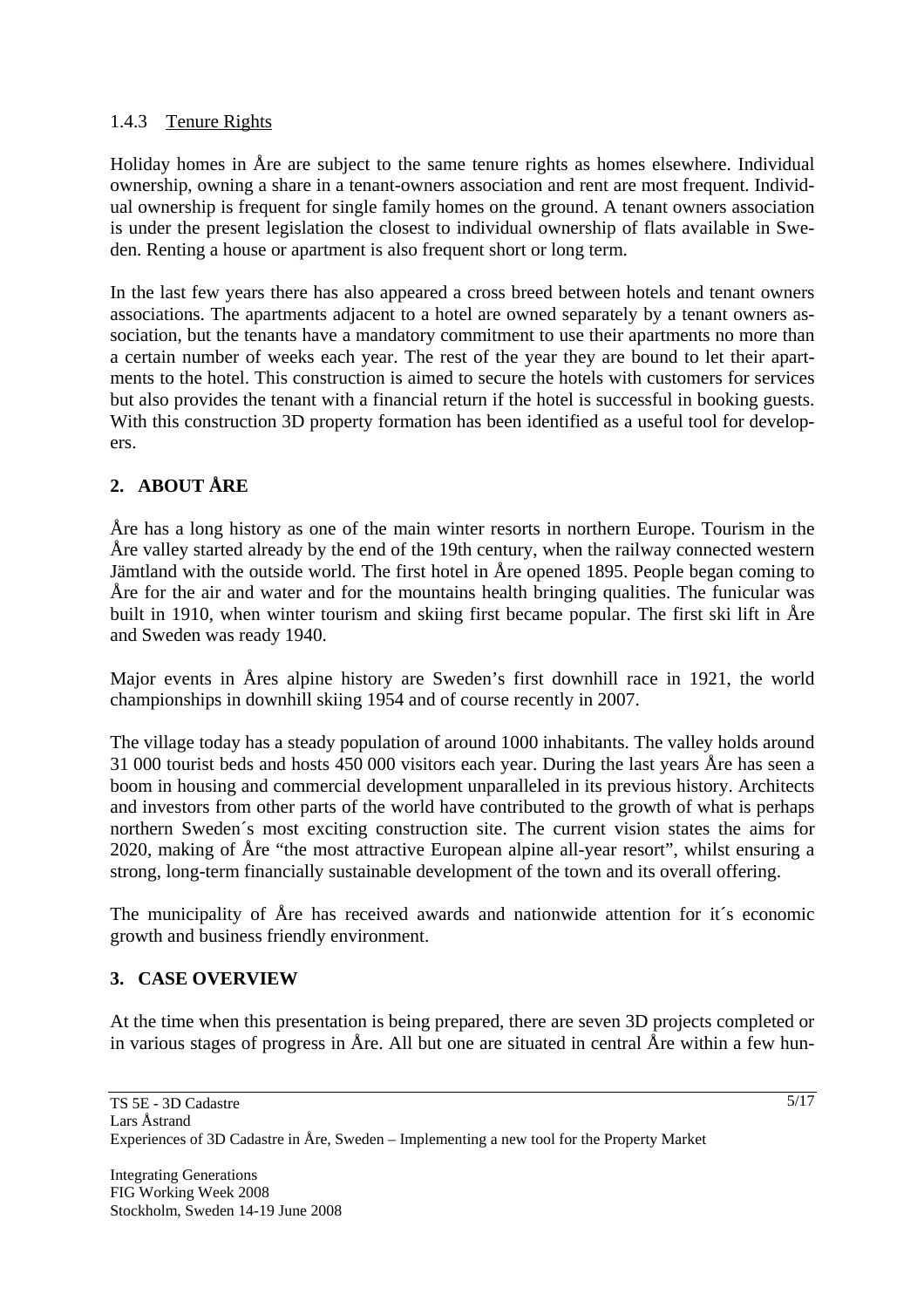# 1.4.3 Tenure Rights

Holiday homes in Åre are subject to the same tenure rights as homes elsewhere. Individual ownership, owning a share in a tenant-owners association and rent are most frequent. Individual ownership is frequent for single family homes on the ground. A tenant owners association is under the present legislation the closest to individual ownership of flats available in Sweden. Renting a house or apartment is also frequent short or long term.

In the last few years there has also appeared a cross breed between hotels and tenant owners associations. The apartments adjacent to a hotel are owned separately by a tenant owners association, but the tenants have a mandatory commitment to use their apartments no more than a certain number of weeks each year. The rest of the year they are bound to let their apartments to the hotel. This construction is aimed to secure the hotels with customers for services but also provides the tenant with a financial return if the hotel is successful in booking guests. With this construction 3D property formation has been identified as a useful tool for developers.

# **2. ABOUT ÅRE**

Åre has a long history as one of the main winter resorts in northern Europe. Tourism in the Åre valley started already by the end of the 19th century, when the railway connected western Jämtland with the outside world. The first hotel in Åre opened 1895. People began coming to Åre for the air and water and for the mountains health bringing qualities. The funicular was built in 1910, when winter tourism and skiing first became popular. The first ski lift in Åre and Sweden was ready 1940.

Major events in Åres alpine history are Sweden's first downhill race in 1921, the world championships in downhill skiing 1954 and of course recently in 2007.

The village today has a steady population of around 1000 inhabitants. The valley holds around 31 000 tourist beds and hosts 450 000 visitors each year. During the last years Åre has seen a boom in housing and commercial development unparalleled in its previous history. Architects and investors from other parts of the world have contributed to the growth of what is perhaps northern Sweden´s most exciting construction site. The current vision states the aims for 2020, making of Åre "the most attractive European alpine all-year resort", whilst ensuring a strong, long-term financially sustainable development of the town and its overall offering.

The municipality of Åre has received awards and nationwide attention for it´s economic growth and business friendly environment.

# **3. CASE OVERVIEW**

At the time when this presentation is being prepared, there are seven 3D projects completed or in various stages of progress in Åre. All but one are situated in central Åre within a few hun-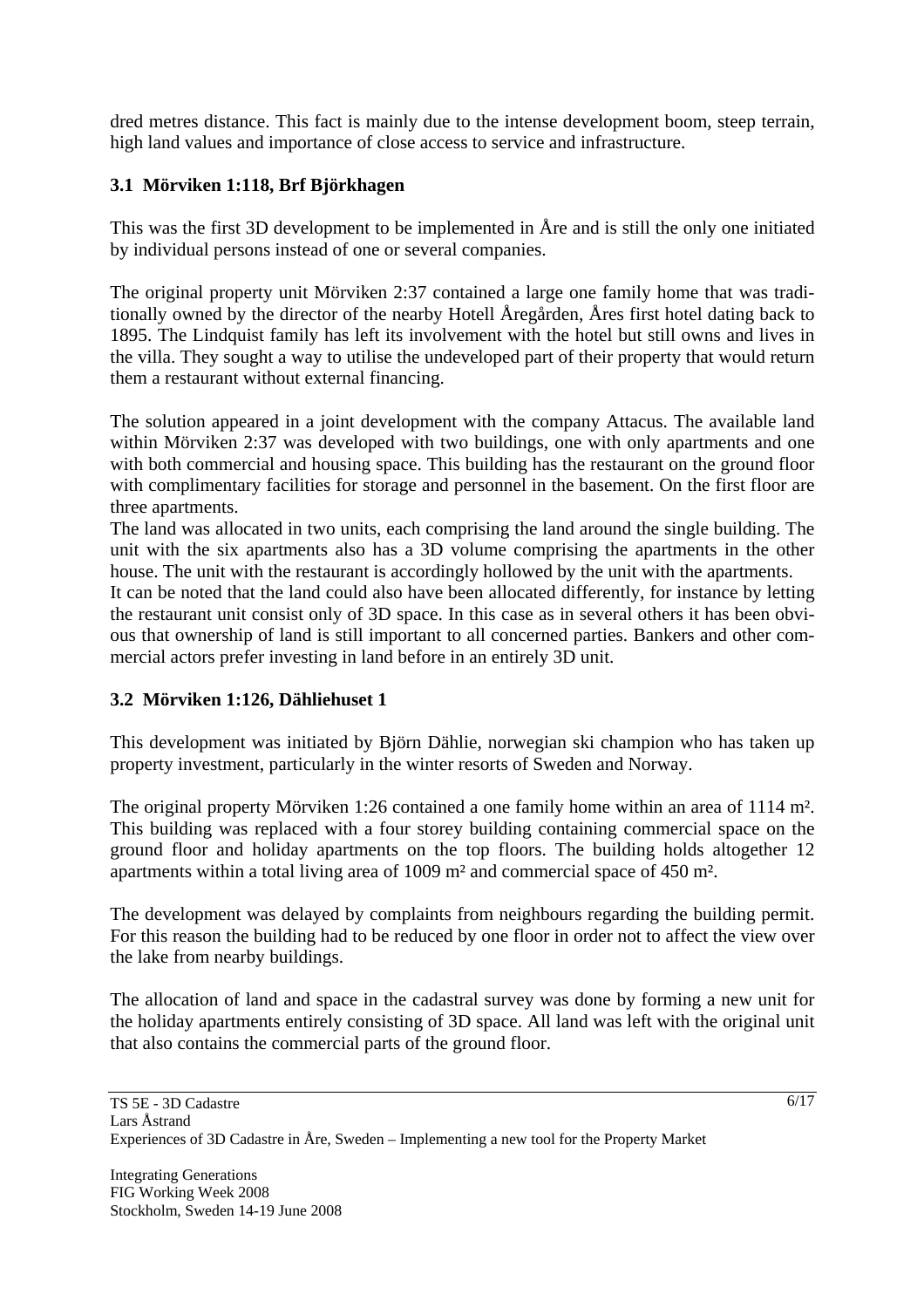dred metres distance. This fact is mainly due to the intense development boom, steep terrain, high land values and importance of close access to service and infrastructure.

# **3.1 Mörviken 1:118, Brf Björkhagen**

This was the first 3D development to be implemented in Åre and is still the only one initiated by individual persons instead of one or several companies.

The original property unit Mörviken 2:37 contained a large one family home that was traditionally owned by the director of the nearby Hotell Åregården, Åres first hotel dating back to 1895. The Lindquist family has left its involvement with the hotel but still owns and lives in the villa. They sought a way to utilise the undeveloped part of their property that would return them a restaurant without external financing.

The solution appeared in a joint development with the company Attacus. The available land within Mörviken 2:37 was developed with two buildings, one with only apartments and one with both commercial and housing space. This building has the restaurant on the ground floor with complimentary facilities for storage and personnel in the basement. On the first floor are three apartments.

The land was allocated in two units, each comprising the land around the single building. The unit with the six apartments also has a 3D volume comprising the apartments in the other house. The unit with the restaurant is accordingly hollowed by the unit with the apartments.

It can be noted that the land could also have been allocated differently, for instance by letting the restaurant unit consist only of 3D space. In this case as in several others it has been obvious that ownership of land is still important to all concerned parties. Bankers and other commercial actors prefer investing in land before in an entirely 3D unit.

# **3.2 Mörviken 1:126, Dähliehuset 1**

This development was initiated by Björn Dählie, norwegian ski champion who has taken up property investment, particularly in the winter resorts of Sweden and Norway.

The original property Mörviken 1:26 contained a one family home within an area of 1114 m². This building was replaced with a four storey building containing commercial space on the ground floor and holiday apartments on the top floors. The building holds altogether 12 apartments within a total living area of 1009 m² and commercial space of 450 m².

The development was delayed by complaints from neighbours regarding the building permit. For this reason the building had to be reduced by one floor in order not to affect the view over the lake from nearby buildings.

The allocation of land and space in the cadastral survey was done by forming a new unit for the holiday apartments entirely consisting of 3D space. All land was left with the original unit that also contains the commercial parts of the ground floor.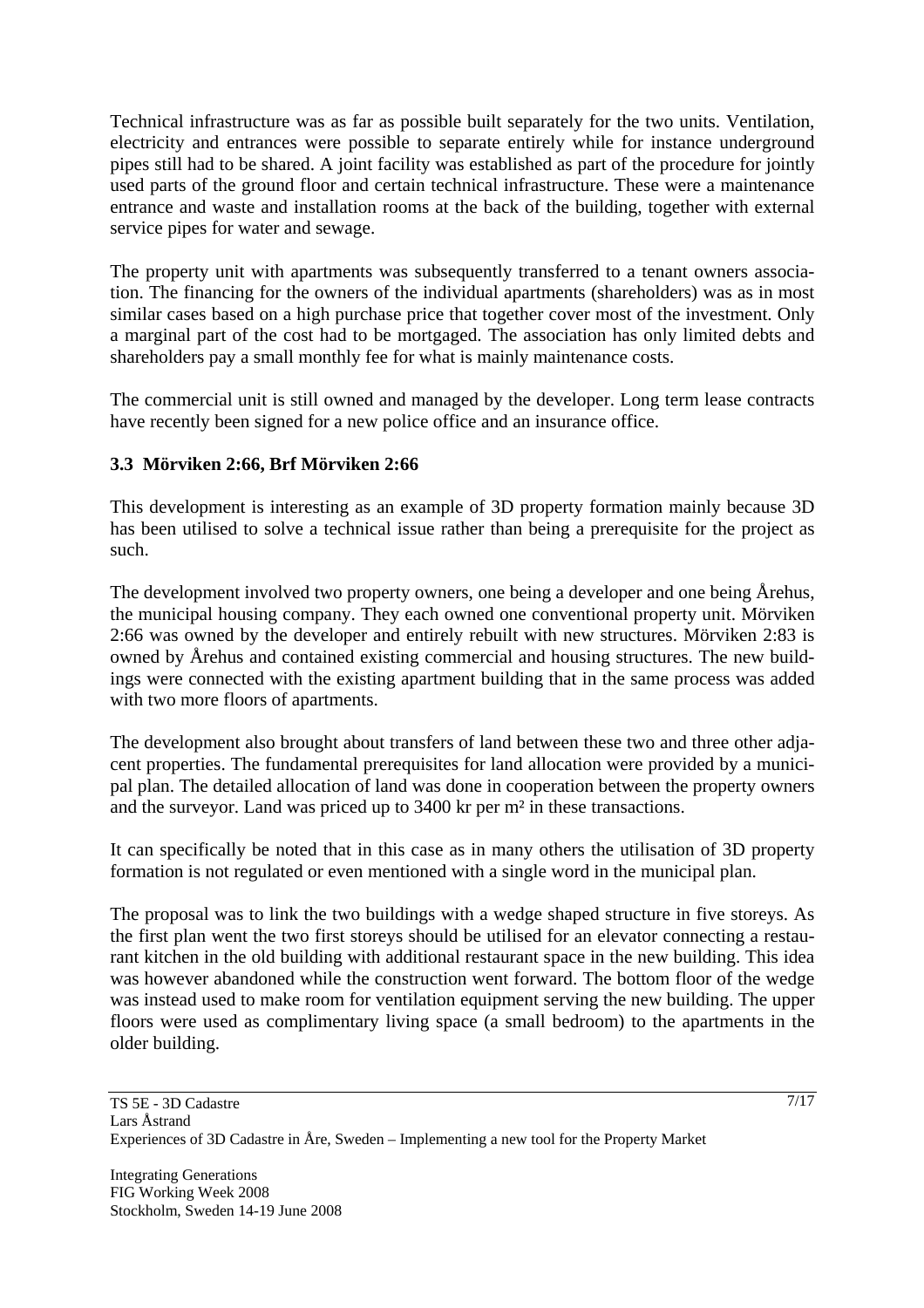Technical infrastructure was as far as possible built separately for the two units. Ventilation, electricity and entrances were possible to separate entirely while for instance underground pipes still had to be shared. A joint facility was established as part of the procedure for jointly used parts of the ground floor and certain technical infrastructure. These were a maintenance entrance and waste and installation rooms at the back of the building, together with external service pipes for water and sewage.

The property unit with apartments was subsequently transferred to a tenant owners association. The financing for the owners of the individual apartments (shareholders) was as in most similar cases based on a high purchase price that together cover most of the investment. Only a marginal part of the cost had to be mortgaged. The association has only limited debts and shareholders pay a small monthly fee for what is mainly maintenance costs.

The commercial unit is still owned and managed by the developer. Long term lease contracts have recently been signed for a new police office and an insurance office.

# **3.3 Mörviken 2:66, Brf Mörviken 2:66**

This development is interesting as an example of 3D property formation mainly because 3D has been utilised to solve a technical issue rather than being a prerequisite for the project as such.

The development involved two property owners, one being a developer and one being Årehus, the municipal housing company. They each owned one conventional property unit. Mörviken 2:66 was owned by the developer and entirely rebuilt with new structures. Mörviken 2:83 is owned by Årehus and contained existing commercial and housing structures. The new buildings were connected with the existing apartment building that in the same process was added with two more floors of apartments.

The development also brought about transfers of land between these two and three other adjacent properties. The fundamental prerequisites for land allocation were provided by a municipal plan. The detailed allocation of land was done in cooperation between the property owners and the surveyor. Land was priced up to 3400 kr per m² in these transactions.

It can specifically be noted that in this case as in many others the utilisation of 3D property formation is not regulated or even mentioned with a single word in the municipal plan.

The proposal was to link the two buildings with a wedge shaped structure in five storeys. As the first plan went the two first storeys should be utilised for an elevator connecting a restaurant kitchen in the old building with additional restaurant space in the new building. This idea was however abandoned while the construction went forward. The bottom floor of the wedge was instead used to make room for ventilation equipment serving the new building. The upper floors were used as complimentary living space (a small bedroom) to the apartments in the older building.

7/17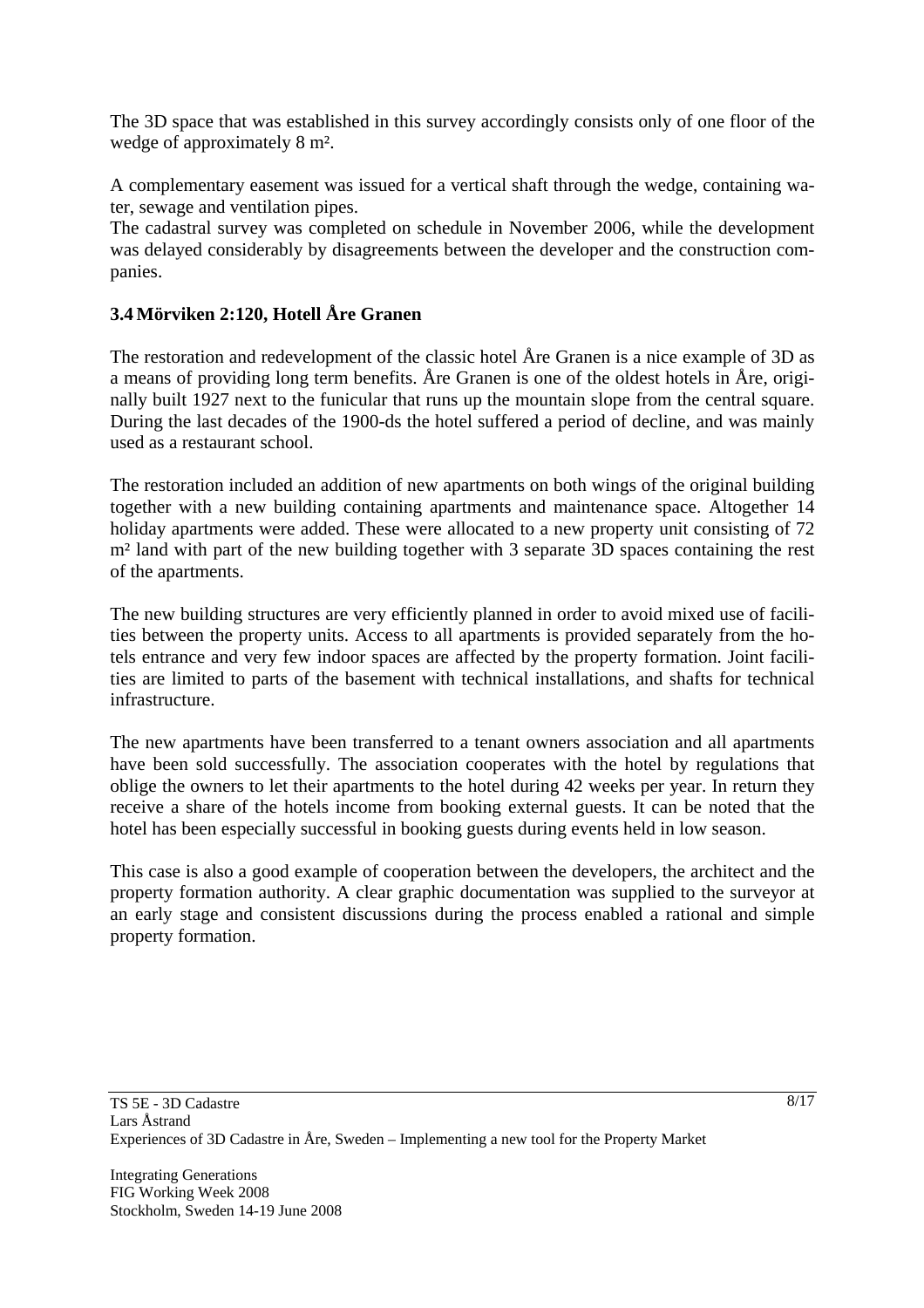The 3D space that was established in this survey accordingly consists only of one floor of the wedge of approximately 8 m².

A complementary easement was issued for a vertical shaft through the wedge, containing water, sewage and ventilation pipes.

The cadastral survey was completed on schedule in November 2006, while the development was delayed considerably by disagreements between the developer and the construction companies.

# **3.4 Mörviken 2:120, Hotell Åre Granen**

The restoration and redevelopment of the classic hotel Åre Granen is a nice example of 3D as a means of providing long term benefits. Åre Granen is one of the oldest hotels in Åre, originally built 1927 next to the funicular that runs up the mountain slope from the central square. During the last decades of the 1900-ds the hotel suffered a period of decline, and was mainly used as a restaurant school.

The restoration included an addition of new apartments on both wings of the original building together with a new building containing apartments and maintenance space. Altogether 14 holiday apartments were added. These were allocated to a new property unit consisting of 72 m<sup>2</sup> land with part of the new building together with 3 separate 3D spaces containing the rest of the apartments.

The new building structures are very efficiently planned in order to avoid mixed use of facilities between the property units. Access to all apartments is provided separately from the hotels entrance and very few indoor spaces are affected by the property formation. Joint facilities are limited to parts of the basement with technical installations, and shafts for technical infrastructure.

The new apartments have been transferred to a tenant owners association and all apartments have been sold successfully. The association cooperates with the hotel by regulations that oblige the owners to let their apartments to the hotel during 42 weeks per year. In return they receive a share of the hotels income from booking external guests. It can be noted that the hotel has been especially successful in booking guests during events held in low season.

This case is also a good example of cooperation between the developers, the architect and the property formation authority. A clear graphic documentation was supplied to the surveyor at an early stage and consistent discussions during the process enabled a rational and simple property formation.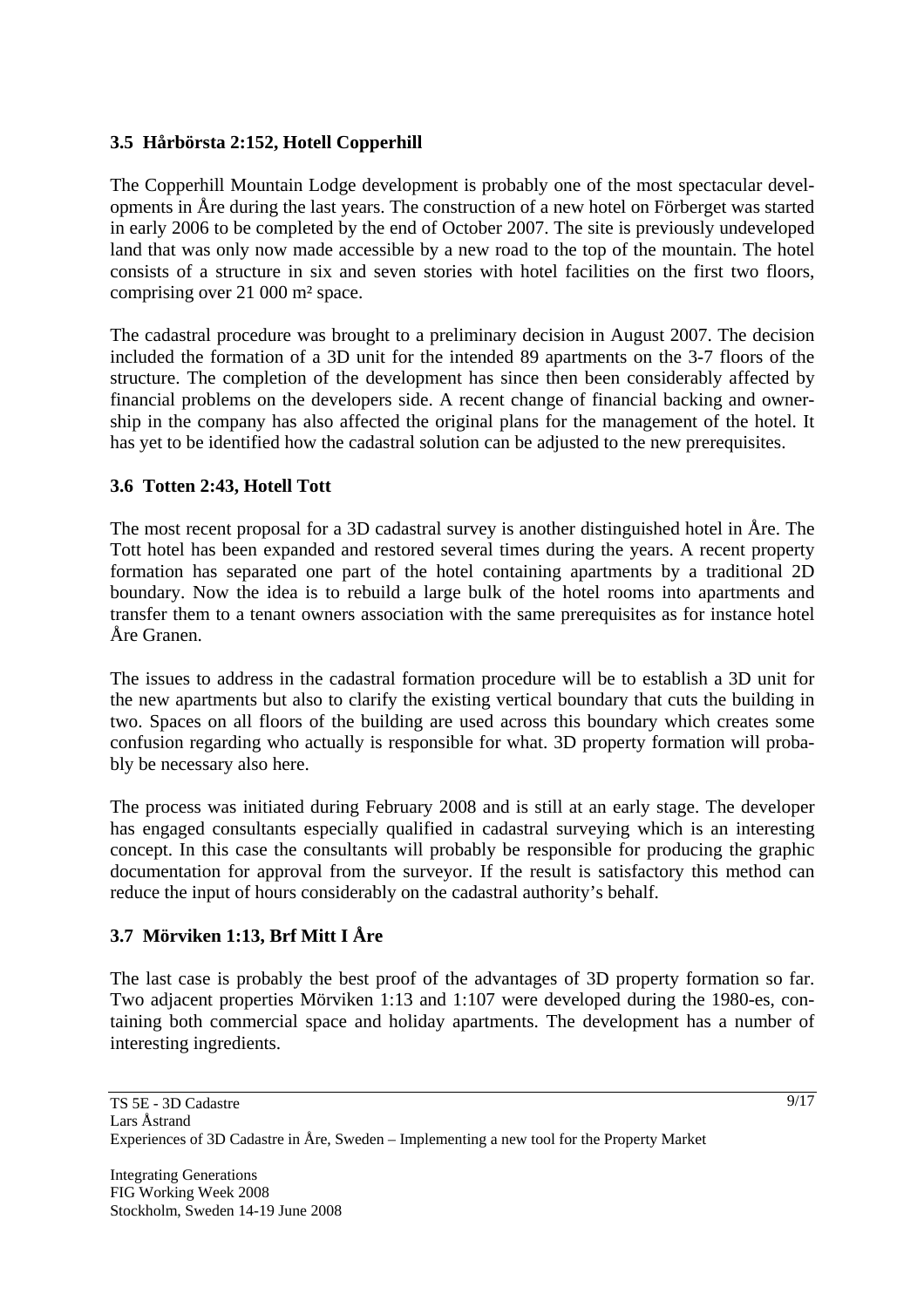# **3.5 Hårbörsta 2:152, Hotell Copperhill**

The Copperhill Mountain Lodge development is probably one of the most spectacular developments in Åre during the last years. The construction of a new hotel on Förberget was started in early 2006 to be completed by the end of October 2007. The site is previously undeveloped land that was only now made accessible by a new road to the top of the mountain. The hotel consists of a structure in six and seven stories with hotel facilities on the first two floors, comprising over 21 000 m² space.

The cadastral procedure was brought to a preliminary decision in August 2007. The decision included the formation of a 3D unit for the intended 89 apartments on the 3-7 floors of the structure. The completion of the development has since then been considerably affected by financial problems on the developers side. A recent change of financial backing and ownership in the company has also affected the original plans for the management of the hotel. It has yet to be identified how the cadastral solution can be adjusted to the new prerequisites.

# **3.6 Totten 2:43, Hotell Tott**

The most recent proposal for a 3D cadastral survey is another distinguished hotel in Åre. The Tott hotel has been expanded and restored several times during the years. A recent property formation has separated one part of the hotel containing apartments by a traditional 2D boundary. Now the idea is to rebuild a large bulk of the hotel rooms into apartments and transfer them to a tenant owners association with the same prerequisites as for instance hotel Åre Granen.

The issues to address in the cadastral formation procedure will be to establish a 3D unit for the new apartments but also to clarify the existing vertical boundary that cuts the building in two. Spaces on all floors of the building are used across this boundary which creates some confusion regarding who actually is responsible for what. 3D property formation will probably be necessary also here.

The process was initiated during February 2008 and is still at an early stage. The developer has engaged consultants especially qualified in cadastral surveying which is an interesting concept. In this case the consultants will probably be responsible for producing the graphic documentation for approval from the surveyor. If the result is satisfactory this method can reduce the input of hours considerably on the cadastral authority's behalf.

# **3.7 Mörviken 1:13, Brf Mitt I Åre**

The last case is probably the best proof of the advantages of 3D property formation so far. Two adjacent properties Mörviken 1:13 and 1:107 were developed during the 1980-es, containing both commercial space and holiday apartments. The development has a number of interesting ingredients.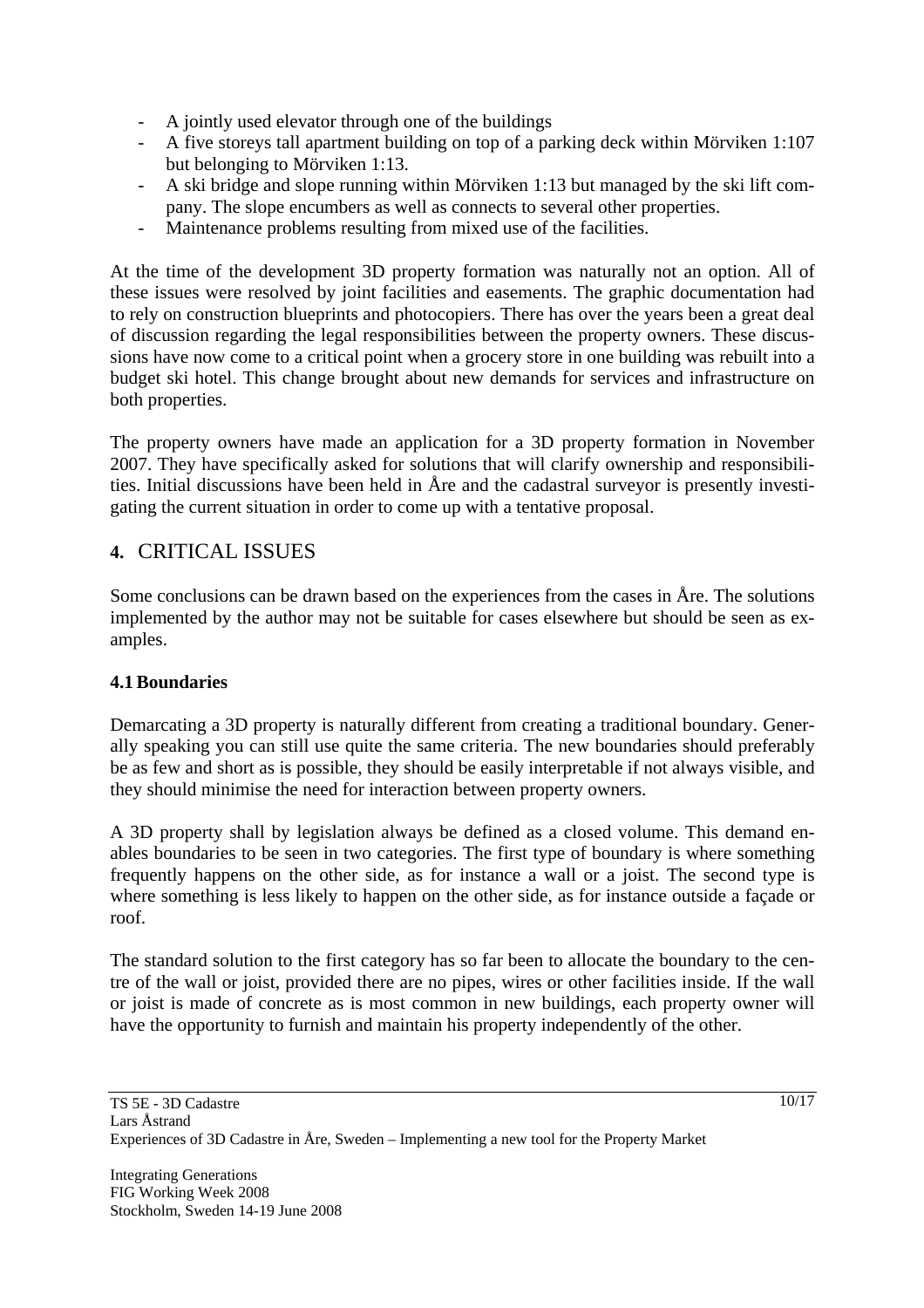- A jointly used elevator through one of the buildings
- A five storeys tall apartment building on top of a parking deck within Mörviken 1:107 but belonging to Mörviken 1:13.
- A ski bridge and slope running within Mörviken 1:13 but managed by the ski lift company. The slope encumbers as well as connects to several other properties.
- Maintenance problems resulting from mixed use of the facilities.

At the time of the development 3D property formation was naturally not an option. All of these issues were resolved by joint facilities and easements. The graphic documentation had to rely on construction blueprints and photocopiers. There has over the years been a great deal of discussion regarding the legal responsibilities between the property owners. These discussions have now come to a critical point when a grocery store in one building was rebuilt into a budget ski hotel. This change brought about new demands for services and infrastructure on both properties.

The property owners have made an application for a 3D property formation in November 2007. They have specifically asked for solutions that will clarify ownership and responsibilities. Initial discussions have been held in Åre and the cadastral surveyor is presently investigating the current situation in order to come up with a tentative proposal.

# **4.** CRITICAL ISSUES

Some conclusions can be drawn based on the experiences from the cases in Åre. The solutions implemented by the author may not be suitable for cases elsewhere but should be seen as examples.

# **4.1Boundaries**

Demarcating a 3D property is naturally different from creating a traditional boundary. Generally speaking you can still use quite the same criteria. The new boundaries should preferably be as few and short as is possible, they should be easily interpretable if not always visible, and they should minimise the need for interaction between property owners.

A 3D property shall by legislation always be defined as a closed volume. This demand enables boundaries to be seen in two categories. The first type of boundary is where something frequently happens on the other side, as for instance a wall or a joist. The second type is where something is less likely to happen on the other side, as for instance outside a façade or roof.

The standard solution to the first category has so far been to allocate the boundary to the centre of the wall or joist, provided there are no pipes, wires or other facilities inside. If the wall or joist is made of concrete as is most common in new buildings, each property owner will have the opportunity to furnish and maintain his property independently of the other.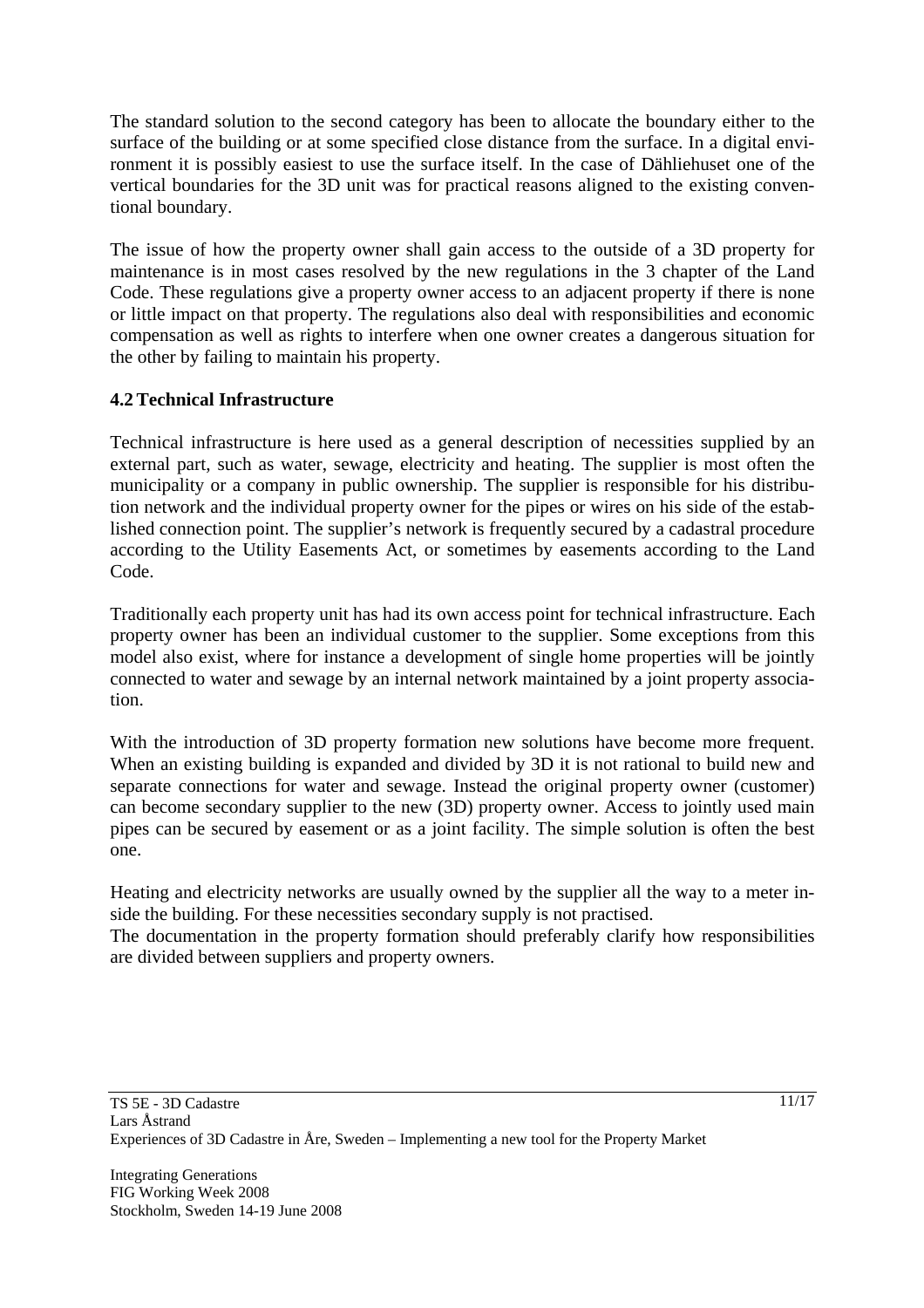The standard solution to the second category has been to allocate the boundary either to the surface of the building or at some specified close distance from the surface. In a digital environment it is possibly easiest to use the surface itself. In the case of Dähliehuset one of the vertical boundaries for the 3D unit was for practical reasons aligned to the existing conventional boundary.

The issue of how the property owner shall gain access to the outside of a 3D property for maintenance is in most cases resolved by the new regulations in the 3 chapter of the Land Code. These regulations give a property owner access to an adjacent property if there is none or little impact on that property. The regulations also deal with responsibilities and economic compensation as well as rights to interfere when one owner creates a dangerous situation for the other by failing to maintain his property.

# **4.2Technical Infrastructure**

Technical infrastructure is here used as a general description of necessities supplied by an external part, such as water, sewage, electricity and heating. The supplier is most often the municipality or a company in public ownership. The supplier is responsible for his distribution network and the individual property owner for the pipes or wires on his side of the established connection point. The supplier's network is frequently secured by a cadastral procedure according to the Utility Easements Act, or sometimes by easements according to the Land Code.

Traditionally each property unit has had its own access point for technical infrastructure. Each property owner has been an individual customer to the supplier. Some exceptions from this model also exist, where for instance a development of single home properties will be jointly connected to water and sewage by an internal network maintained by a joint property association.

With the introduction of 3D property formation new solutions have become more frequent. When an existing building is expanded and divided by 3D it is not rational to build new and separate connections for water and sewage. Instead the original property owner (customer) can become secondary supplier to the new (3D) property owner. Access to jointly used main pipes can be secured by easement or as a joint facility. The simple solution is often the best one.

Heating and electricity networks are usually owned by the supplier all the way to a meter inside the building. For these necessities secondary supply is not practised.

The documentation in the property formation should preferably clarify how responsibilities are divided between suppliers and property owners.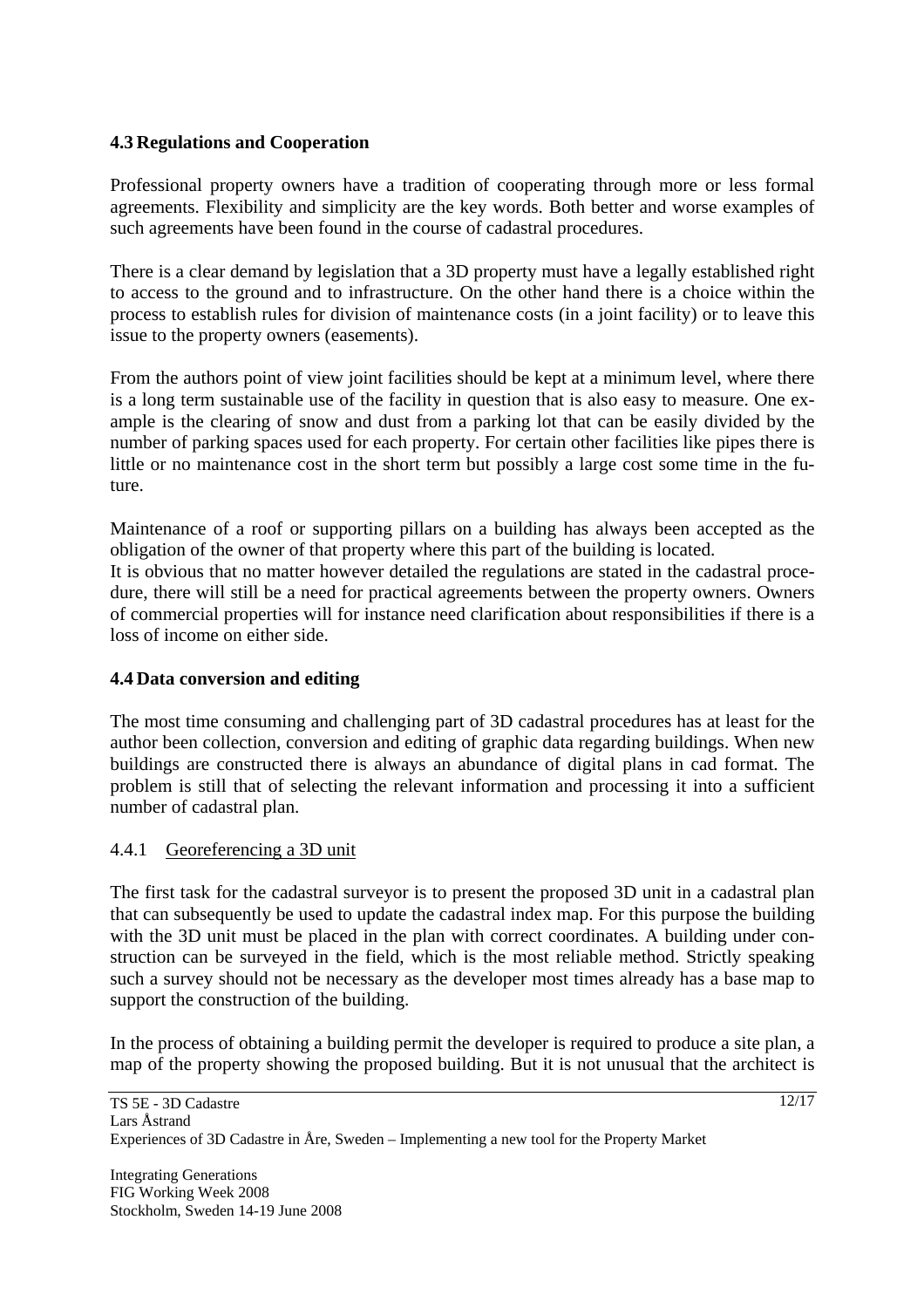# **4.3 Regulations and Cooperation**

Professional property owners have a tradition of cooperating through more or less formal agreements. Flexibility and simplicity are the key words. Both better and worse examples of such agreements have been found in the course of cadastral procedures.

There is a clear demand by legislation that a 3D property must have a legally established right to access to the ground and to infrastructure. On the other hand there is a choice within the process to establish rules for division of maintenance costs (in a joint facility) or to leave this issue to the property owners (easements).

From the authors point of view joint facilities should be kept at a minimum level, where there is a long term sustainable use of the facility in question that is also easy to measure. One example is the clearing of snow and dust from a parking lot that can be easily divided by the number of parking spaces used for each property. For certain other facilities like pipes there is little or no maintenance cost in the short term but possibly a large cost some time in the future.

Maintenance of a roof or supporting pillars on a building has always been accepted as the obligation of the owner of that property where this part of the building is located. It is obvious that no matter however detailed the regulations are stated in the cadastral procedure, there will still be a need for practical agreements between the property owners. Owners of commercial properties will for instance need clarification about responsibilities if there is a

# **4.4 Data conversion and editing**

loss of income on either side.

The most time consuming and challenging part of 3D cadastral procedures has at least for the author been collection, conversion and editing of graphic data regarding buildings. When new buildings are constructed there is always an abundance of digital plans in cad format. The problem is still that of selecting the relevant information and processing it into a sufficient number of cadastral plan.

# 4.4.1 Georeferencing a 3D unit

The first task for the cadastral surveyor is to present the proposed 3D unit in a cadastral plan that can subsequently be used to update the cadastral index map. For this purpose the building with the 3D unit must be placed in the plan with correct coordinates. A building under construction can be surveyed in the field, which is the most reliable method. Strictly speaking such a survey should not be necessary as the developer most times already has a base map to support the construction of the building.

In the process of obtaining a building permit the developer is required to produce a site plan, a map of the property showing the proposed building. But it is not unusual that the architect is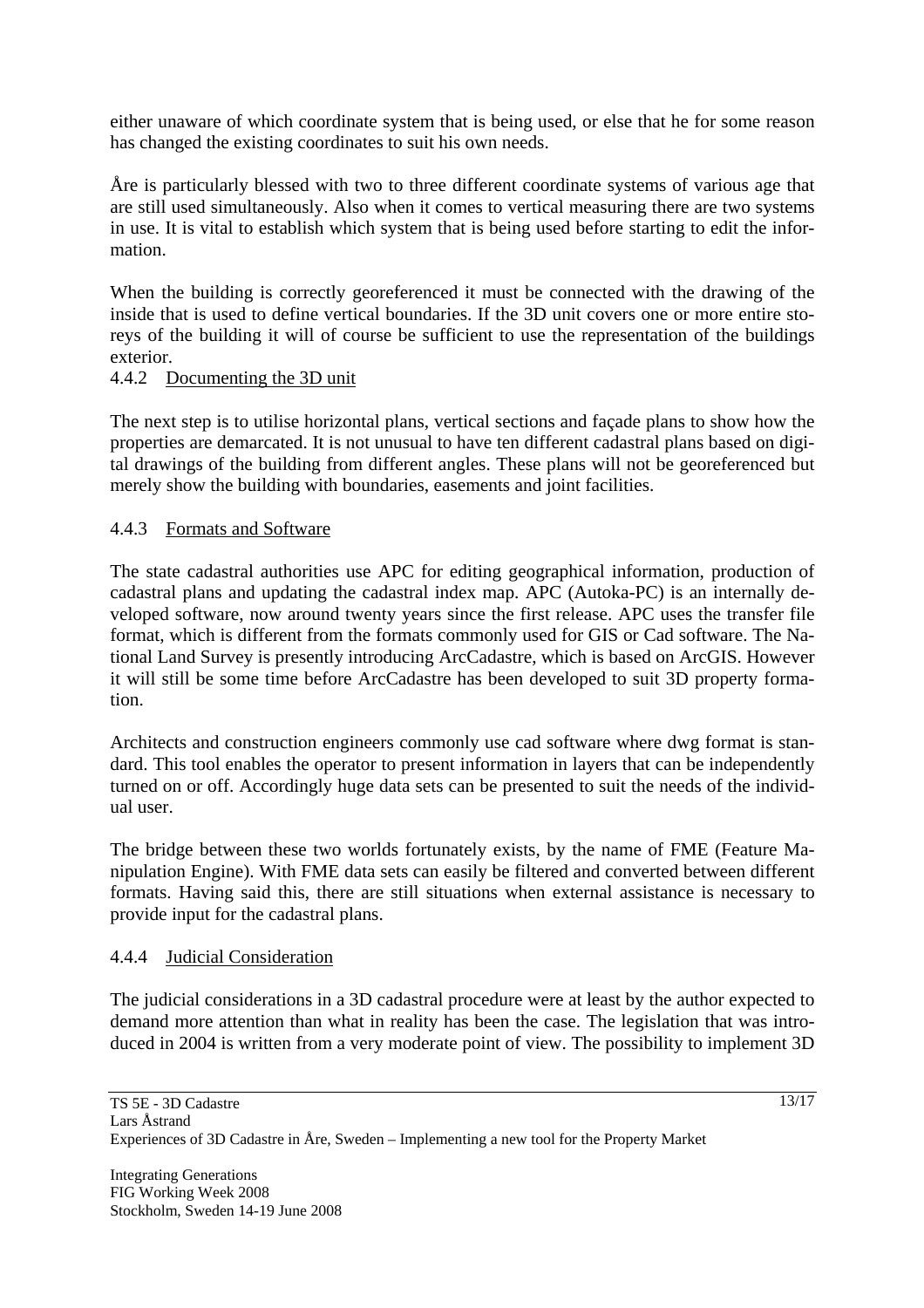either unaware of which coordinate system that is being used, or else that he for some reason has changed the existing coordinates to suit his own needs.

Åre is particularly blessed with two to three different coordinate systems of various age that are still used simultaneously. Also when it comes to vertical measuring there are two systems in use. It is vital to establish which system that is being used before starting to edit the information.

When the building is correctly georeferenced it must be connected with the drawing of the inside that is used to define vertical boundaries. If the 3D unit covers one or more entire storeys of the building it will of course be sufficient to use the representation of the buildings exterior.

#### 4.4.2 Documenting the 3D unit

The next step is to utilise horizontal plans, vertical sections and façade plans to show how the properties are demarcated. It is not unusual to have ten different cadastral plans based on digital drawings of the building from different angles. These plans will not be georeferenced but merely show the building with boundaries, easements and joint facilities.

# 4.4.3 Formats and Software

The state cadastral authorities use APC for editing geographical information, production of cadastral plans and updating the cadastral index map. APC (Autoka-PC) is an internally developed software, now around twenty years since the first release. APC uses the transfer file format, which is different from the formats commonly used for GIS or Cad software. The National Land Survey is presently introducing ArcCadastre, which is based on ArcGIS. However it will still be some time before ArcCadastre has been developed to suit 3D property formation.

Architects and construction engineers commonly use cad software where dwg format is standard. This tool enables the operator to present information in layers that can be independently turned on or off. Accordingly huge data sets can be presented to suit the needs of the individual user.

The bridge between these two worlds fortunately exists, by the name of FME (Feature Manipulation Engine). With FME data sets can easily be filtered and converted between different formats. Having said this, there are still situations when external assistance is necessary to provide input for the cadastral plans.

#### 4.4.4 Judicial Consideration

The judicial considerations in a 3D cadastral procedure were at least by the author expected to demand more attention than what in reality has been the case. The legislation that was introduced in 2004 is written from a very moderate point of view. The possibility to implement 3D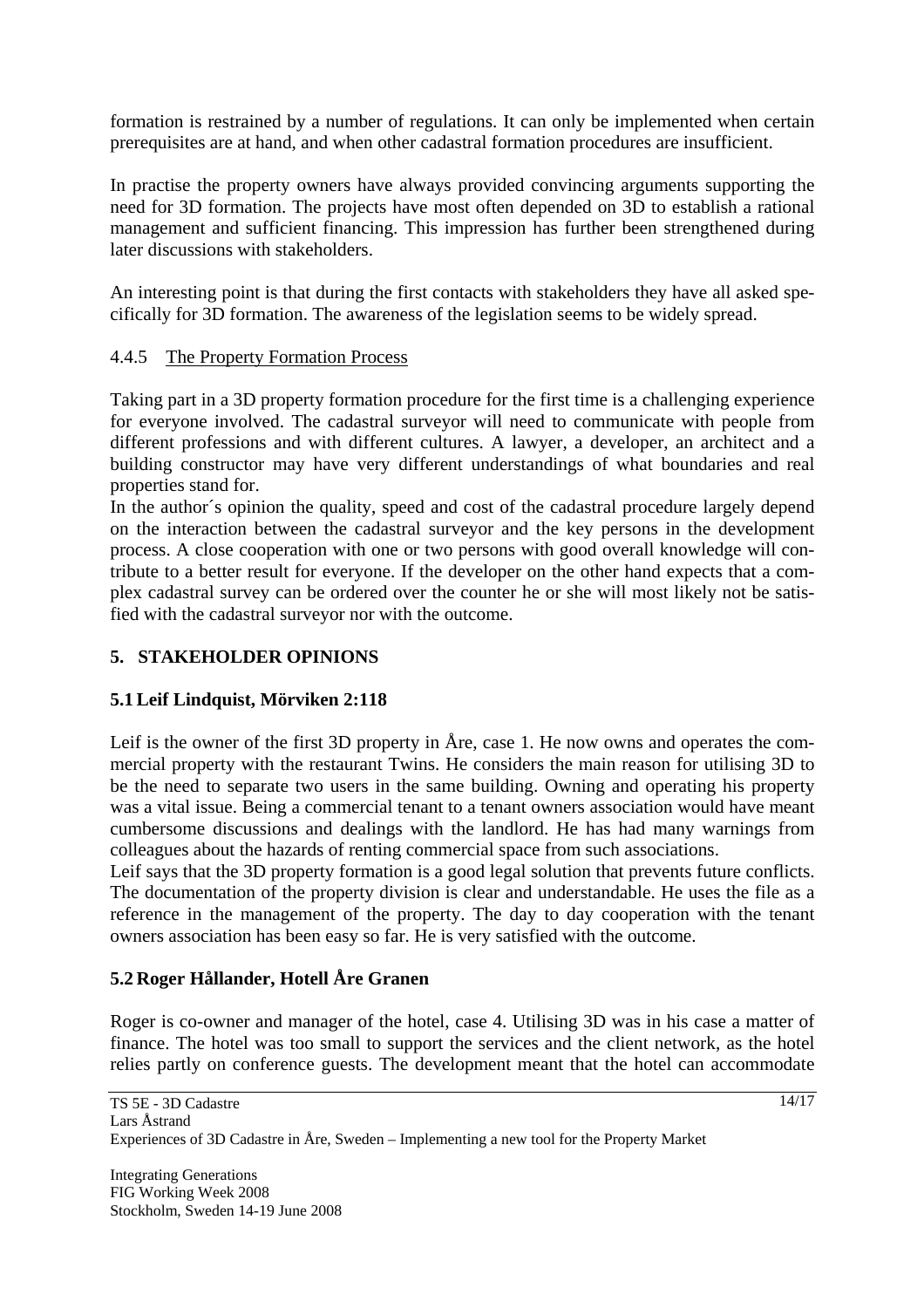formation is restrained by a number of regulations. It can only be implemented when certain prerequisites are at hand, and when other cadastral formation procedures are insufficient.

In practise the property owners have always provided convincing arguments supporting the need for 3D formation. The projects have most often depended on 3D to establish a rational management and sufficient financing. This impression has further been strengthened during later discussions with stakeholders.

An interesting point is that during the first contacts with stakeholders they have all asked specifically for 3D formation. The awareness of the legislation seems to be widely spread.

# 4.4.5 The Property Formation Process

Taking part in a 3D property formation procedure for the first time is a challenging experience for everyone involved. The cadastral surveyor will need to communicate with people from different professions and with different cultures. A lawyer, a developer, an architect and a building constructor may have very different understandings of what boundaries and real properties stand for.

In the author´s opinion the quality, speed and cost of the cadastral procedure largely depend on the interaction between the cadastral surveyor and the key persons in the development process. A close cooperation with one or two persons with good overall knowledge will contribute to a better result for everyone. If the developer on the other hand expects that a complex cadastral survey can be ordered over the counter he or she will most likely not be satisfied with the cadastral surveyor nor with the outcome.

# **5. STAKEHOLDER OPINIONS**

# **5.1Leif Lindquist, Mörviken 2:118**

Leif is the owner of the first 3D property in Åre, case 1. He now owns and operates the commercial property with the restaurant Twins. He considers the main reason for utilising 3D to be the need to separate two users in the same building. Owning and operating his property was a vital issue. Being a commercial tenant to a tenant owners association would have meant cumbersome discussions and dealings with the landlord. He has had many warnings from colleagues about the hazards of renting commercial space from such associations.

Leif says that the 3D property formation is a good legal solution that prevents future conflicts. The documentation of the property division is clear and understandable. He uses the file as a reference in the management of the property. The day to day cooperation with the tenant owners association has been easy so far. He is very satisfied with the outcome.

# **5.2 Roger Hållander, Hotell Åre Granen**

Roger is co-owner and manager of the hotel, case 4. Utilising 3D was in his case a matter of finance. The hotel was too small to support the services and the client network, as the hotel relies partly on conference guests. The development meant that the hotel can accommodate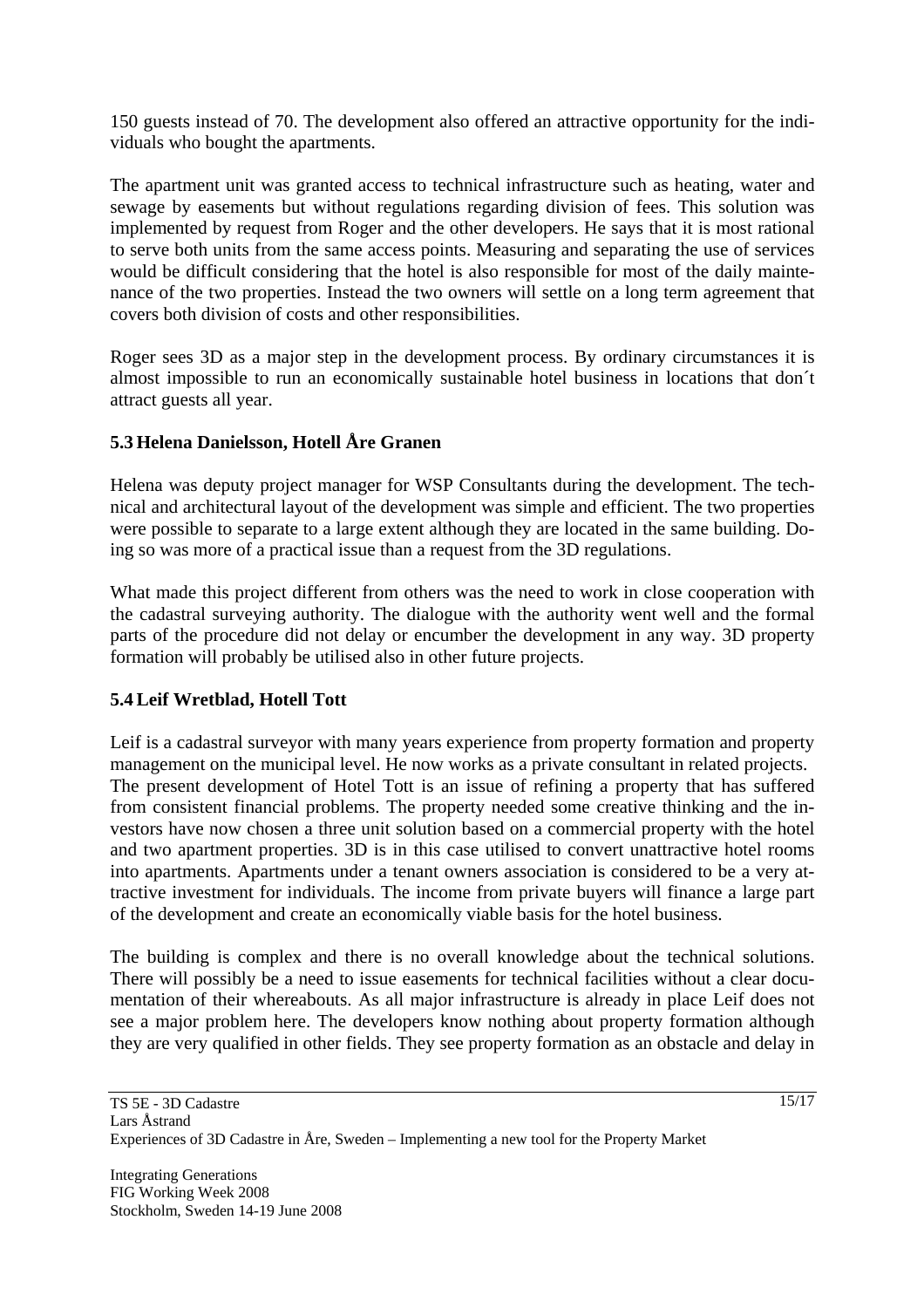150 guests instead of 70. The development also offered an attractive opportunity for the individuals who bought the apartments.

The apartment unit was granted access to technical infrastructure such as heating, water and sewage by easements but without regulations regarding division of fees. This solution was implemented by request from Roger and the other developers. He says that it is most rational to serve both units from the same access points. Measuring and separating the use of services would be difficult considering that the hotel is also responsible for most of the daily maintenance of the two properties. Instead the two owners will settle on a long term agreement that covers both division of costs and other responsibilities.

Roger sees 3D as a major step in the development process. By ordinary circumstances it is almost impossible to run an economically sustainable hotel business in locations that don´t attract guests all year.

# **5.3 Helena Danielsson, Hotell Åre Granen**

Helena was deputy project manager for WSP Consultants during the development. The technical and architectural layout of the development was simple and efficient. The two properties were possible to separate to a large extent although they are located in the same building. Doing so was more of a practical issue than a request from the 3D regulations.

What made this project different from others was the need to work in close cooperation with the cadastral surveying authority. The dialogue with the authority went well and the formal parts of the procedure did not delay or encumber the development in any way. 3D property formation will probably be utilised also in other future projects.

# **5.4Leif Wretblad, Hotell Tott**

Leif is a cadastral surveyor with many years experience from property formation and property management on the municipal level. He now works as a private consultant in related projects. The present development of Hotel Tott is an issue of refining a property that has suffered from consistent financial problems. The property needed some creative thinking and the investors have now chosen a three unit solution based on a commercial property with the hotel and two apartment properties. 3D is in this case utilised to convert unattractive hotel rooms into apartments. Apartments under a tenant owners association is considered to be a very attractive investment for individuals. The income from private buyers will finance a large part of the development and create an economically viable basis for the hotel business.

The building is complex and there is no overall knowledge about the technical solutions. There will possibly be a need to issue easements for technical facilities without a clear documentation of their whereabouts. As all major infrastructure is already in place Leif does not see a major problem here. The developers know nothing about property formation although they are very qualified in other fields. They see property formation as an obstacle and delay in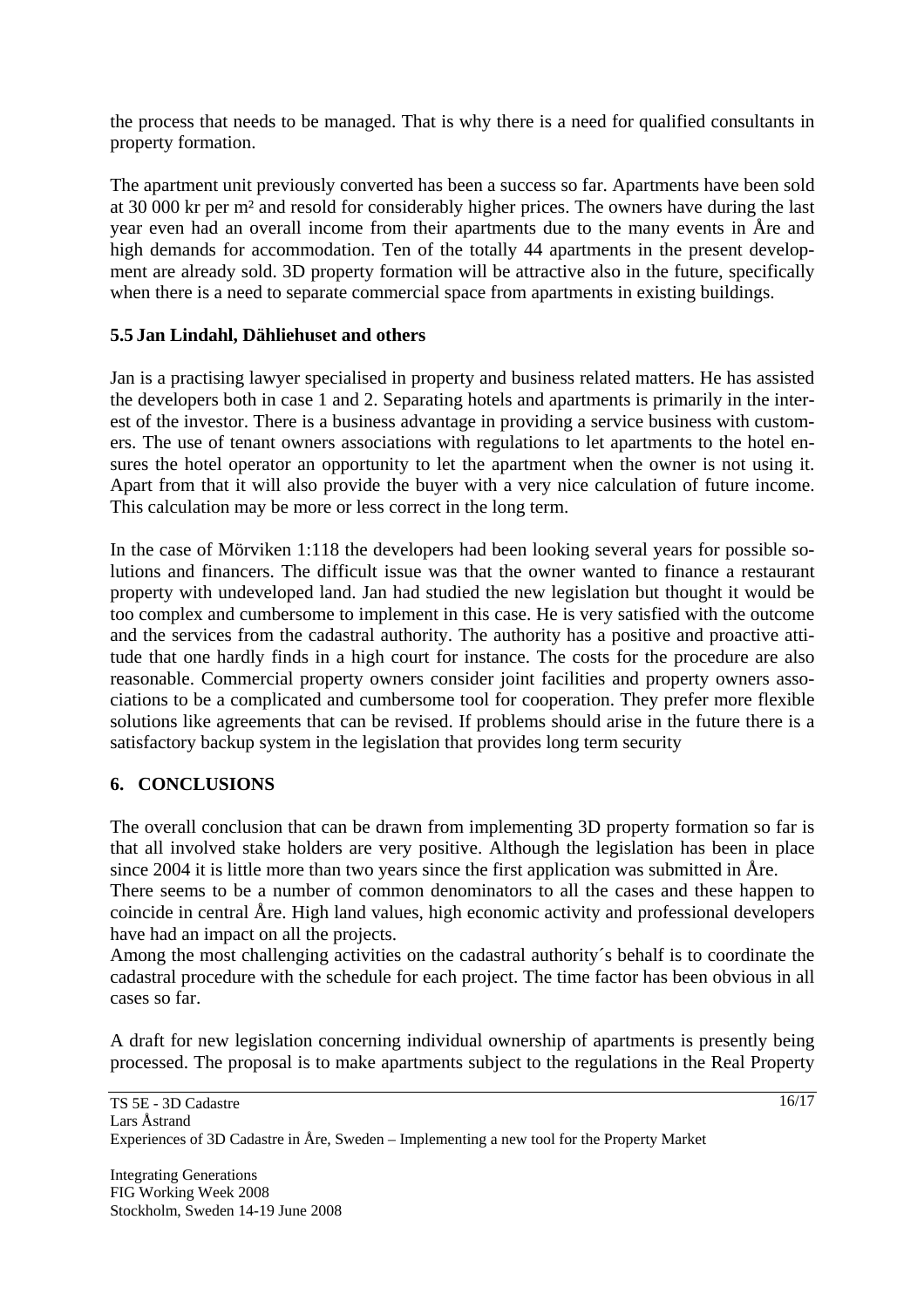the process that needs to be managed. That is why there is a need for qualified consultants in property formation.

The apartment unit previously converted has been a success so far. Apartments have been sold at 30 000 kr per m² and resold for considerably higher prices. The owners have during the last year even had an overall income from their apartments due to the many events in Åre and high demands for accommodation. Ten of the totally 44 apartments in the present development are already sold. 3D property formation will be attractive also in the future, specifically when there is a need to separate commercial space from apartments in existing buildings.

# **5.5 Jan Lindahl, Dähliehuset and others**

Jan is a practising lawyer specialised in property and business related matters. He has assisted the developers both in case 1 and 2. Separating hotels and apartments is primarily in the interest of the investor. There is a business advantage in providing a service business with customers. The use of tenant owners associations with regulations to let apartments to the hotel ensures the hotel operator an opportunity to let the apartment when the owner is not using it. Apart from that it will also provide the buyer with a very nice calculation of future income. This calculation may be more or less correct in the long term.

In the case of Mörviken 1:118 the developers had been looking several years for possible solutions and financers. The difficult issue was that the owner wanted to finance a restaurant property with undeveloped land. Jan had studied the new legislation but thought it would be too complex and cumbersome to implement in this case. He is very satisfied with the outcome and the services from the cadastral authority. The authority has a positive and proactive attitude that one hardly finds in a high court for instance. The costs for the procedure are also reasonable. Commercial property owners consider joint facilities and property owners associations to be a complicated and cumbersome tool for cooperation. They prefer more flexible solutions like agreements that can be revised. If problems should arise in the future there is a satisfactory backup system in the legislation that provides long term security

# **6. CONCLUSIONS**

The overall conclusion that can be drawn from implementing 3D property formation so far is that all involved stake holders are very positive. Although the legislation has been in place since 2004 it is little more than two years since the first application was submitted in Åre.

There seems to be a number of common denominators to all the cases and these happen to coincide in central Åre. High land values, high economic activity and professional developers have had an impact on all the projects.

Among the most challenging activities on the cadastral authority´s behalf is to coordinate the cadastral procedure with the schedule for each project. The time factor has been obvious in all cases so far.

A draft for new legislation concerning individual ownership of apartments is presently being processed. The proposal is to make apartments subject to the regulations in the Real Property